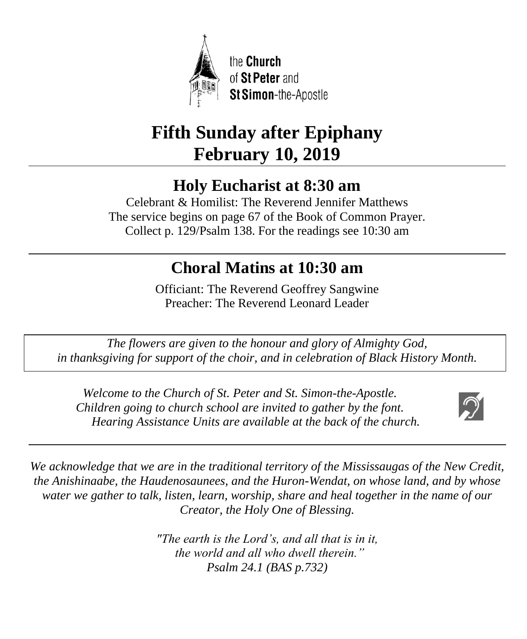

# **Fifth Sunday after Epiphany February 10, 2019**

# **Holy Eucharist at 8:30 am**

Celebrant & Homilist: The Reverend Jennifer Matthews The service begins on page 67 of the Book of Common Prayer. Collect p. 129/Psalm 138. For the readings see 10:30 am

# **Choral Matins at 10:30 am**

Officiant: The Reverend Geoffrey Sangwine Preacher: The Reverend Leonard Leader

*The flowers are given to the honour and glory of Almighty God, in thanksgiving for support of the choir, and in celebration of Black History Month.*

*Welcome to the Church of St. Peter and St. Simon-the-Apostle. Children going to church school are invited to gather by the font. Hearing Assistance Units are available at the back of the church.*



*We acknowledge that we are in the traditional territory of the Mississaugas of the New Credit, the Anishinaabe, the Haudenosaunees, and the Huron-Wendat, on whose land, and by whose water we gather to talk, listen, learn, worship, share and heal together in the name of our Creator, the Holy One of Blessing.*

> *"The earth is the Lord's, and all that is in it, the world and all who dwell therein." Psalm 24.1 (BAS p.732)*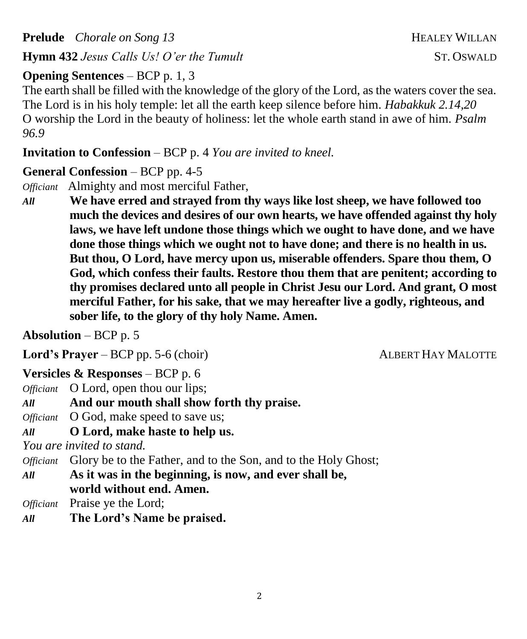**Prelude** *Chorale on Song 13* **HEALEY WILLAN Hymn 432** *Jesus Calls Us! O'er the Tumult* ST. OSWALD

#### **Opening Sentences** – BCP p. 1, 3

The earth shall be filled with the knowledge of the glory of the Lord, as the waters cover the sea. The Lord is in his holy temple: let all the earth keep silence before him. *Habakkuk 2.14,20* O worship the Lord in the beauty of holiness: let the whole earth stand in awe of him. *Psalm 96.9*

**Invitation to Confession** – BCP p. 4 *You are invited to kneel.*

## **General Confession** – BCP pp. 4-5

*Officiant* Almighty and most merciful Father,

*All* **We have erred and strayed from thy ways like lost sheep, we have followed too much the devices and desires of our own hearts, we have offended against thy holy laws, we have left undone those things which we ought to have done, and we have done those things which we ought not to have done; and there is no health in us. But thou, O Lord, have mercy upon us, miserable offenders. Spare thou them, O God, which confess their faults. Restore thou them that are penitent; according to thy promises declared unto all people in Christ Jesu our Lord. And grant, O most merciful Father, for his sake, that we may hereafter live a godly, righteous, and sober life, to the glory of thy holy Name. Amen.**

**Absolution** – BCP p. 5

**Lord's Prayer** – BCP pp. 5-6 (choir) ALBERT HAY MALOTTE 

#### **Versicles & Responses** – BCP p. 6

*Officiant* O Lord, open thou our lips;

- *All* **And our mouth shall show forth thy praise.**
- *Officiant* O God, make speed to save us;
- *All* **O Lord, make haste to help us.**

*You are invited to stand.*

*Officiant* Glory be to the Father, and to the Son, and to the Holy Ghost;

*All* **As it was in the beginning, is now, and ever shall be, world without end. Amen.**

*Officiant* Praise ye the Lord;

*All* **The Lord's Name be praised.**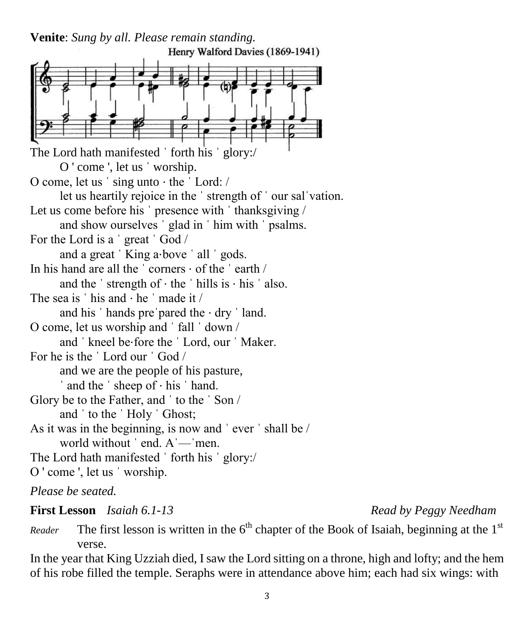**Venite**: *Sung by all. Please remain standing.*

Henry Walford Davies (1869-1941) The Lord hath manifested 'forth his ' glory:/ O ' come ', let us ˈ worship. O come, let us ˈ sing unto ⋅ the ˈ Lord: / let us heartily rejoice in the ˈ strength of ˈ our salˈvation. Let us come before his ' presence with ' thanksgiving / and show ourselves ˈ glad in ˈ him with ˈ psalms. For the Lord is a ˈ great ˈ God / and a great 'King a⋅bove ' all ' gods. In his hand are all the  $\cdot$  corners  $\cdot$  of the  $\cdot$  earth  $\prime$ and the  $\cdot$  strength of  $\cdot$  the  $\cdot$  hills is  $\cdot$  his  $\cdot$  also. The sea is  $'$  his and  $\cdot$  he  $'$  made it / and his  $'$  hands pre pared the  $·$  dry  $'$  land. O come, let us worship and ˈ fall ˈ down / and ˈ kneel be⋅fore the ˈ Lord, our ˈ Maker. For he is the ˈ Lord our ˈ God / and we are the people of his pasture, ˈ and the ˈ sheep of ⋅ his ˈ hand. Glory be to the Father, and ˈ to the ˈ Son / and ˈ to the ˈ Holy ˈ Ghost; As it was in the beginning, is now and ˈ ever ˈ shall be / world without ' end. A'—'men. The Lord hath manifested 'forth his ' glory:/ O ' come ', let us ˈ worship.

*Please be seated.*

#### **First Lesson** *Isaiah 6.1-13 Read by Peggy Needham*

*Reader* The first lesson is written in the  $6<sup>th</sup>$  chapter of the Book of Isaiah, beginning at the 1<sup>st</sup> verse.

In the year that King Uzziah died, I saw the Lord sitting on a throne, high and lofty; and the hem of his robe filled the temple. Seraphs were in attendance above him; each had six wings: with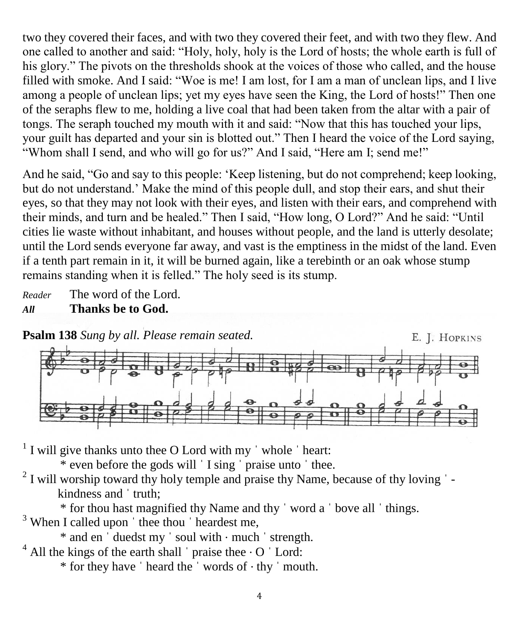two they covered their faces, and with two they covered their feet, and with two they flew. And one called to another and said: "Holy, holy, holy is the Lord of hosts; the whole earth is full of his glory." The pivots on the thresholds shook at the voices of those who called, and the house filled with smoke. And I said: "Woe is me! I am lost, for I am a man of unclean lips, and I live among a people of unclean lips; yet my eyes have seen the King, the Lord of hosts!" Then one of the seraphs flew to me, holding a live coal that had been taken from the altar with a pair of tongs. The seraph touched my mouth with it and said: "Now that this has touched your lips, your guilt has departed and your sin is blotted out." Then I heard the voice of the Lord saying, "Whom shall I send, and who will go for us?" And I said, "Here am I; send me!"

And he said, "Go and say to this people: 'Keep listening, but do not comprehend; keep looking, but do not understand.' Make the mind of this people dull, and stop their ears, and shut their eyes, so that they may not look with their eyes, and listen with their ears, and comprehend with their minds, and turn and be healed." Then I said, "How long, O Lord?" And he said: "Until cities lie waste without inhabitant, and houses without people, and the land is utterly desolate; until the Lord sends everyone far away, and vast is the emptiness in the midst of the land. Even if a tenth part remain in it, it will be burned again, like a terebinth or an oak whose stump remains standing when it is felled." The holy seed is its stump.

*Reader* The word of the Lord.

#### *All* **Thanks be to God.**



 $<sup>1</sup>$  I will give thanks unto thee O Lord with my  $\dot{ }$  whole  $\dot{ }$  heart:</sup>

\* even before the gods will ˈ I sing ˈ praise unto ˈ thee.

 $2$  I will worship toward thy holy temple and praise thy Name, because of thy loving  $\overline{\phantom{a}}$  kindness and ˈ truth;

\* for thou hast magnified thy Name and thy ˈ word a ˈ bove all ˈ things.

<sup>3</sup> When I called upon 'thee thou 'heardest me,

\* and en ˈ duedst my ˈ soul with ⋅ much ˈ strength.

 $4$  All the kings of the earth shall  $\prime$  praise thee  $\cdot$  O  $\prime$  Lord:

\* for they have ˈ heard the ˈ words of ⋅ thy ˈ mouth.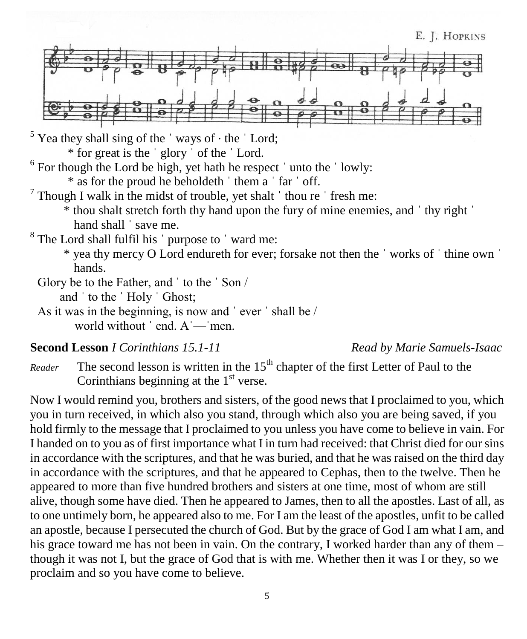

 $5$  Yea they shall sing of the 'ways of  $\cdot$  the 'Lord;

\* for great is the ˈ glory ˈ of the ˈ Lord.

 $6$  For though the Lord be high, yet hath he respect  $\dot{\ }$  unto the  $\dot{\ }$  lowly:

\* as for the proud he beholdeth ˈ them a ˈ far ˈ off.

- $7$  Though I walk in the midst of trouble, yet shalt  $\dot{}$  thou re  $\dot{}$  fresh me:
	- \* thou shalt stretch forth thy hand upon the fury of mine enemies, and ˈ thy right ˈ hand shall 'save me.
- <sup>8</sup> The Lord shall fulfil his ' purpose to ' ward me:
	- \* yea thy mercy O Lord endureth for ever; forsake not then the ˈ works of ˈ thine own ˈ hands.
- Glory be to the Father, and ˈ to the ˈ Son / and ˈ to the ˈ Holy ˈ Ghost;
- As it was in the beginning, is now and ˈ ever ˈ shall be / world without ' end. A'—'men.

#### **Second Lesson** *I Corinthians 15.1-11 Read by Marie Samuels-Isaac*

*Reader* The second lesson is written in the 15<sup>th</sup> chapter of the first Letter of Paul to the Corinthians beginning at the  $1<sup>st</sup>$  verse.

Now I would remind you, brothers and sisters, of the good news that I proclaimed to you, which you in turn received, in which also you stand, through which also you are being saved, if you hold firmly to the message that I proclaimed to you unless you have come to believe in vain. For I handed on to you as of first importance what I in turn had received: that Christ died for our sins in accordance with the scriptures, and that he was buried, and that he was raised on the third day in accordance with the scriptures, and that he appeared to Cephas, then to the twelve. Then he appeared to more than five hundred brothers and sisters at one time, most of whom are still alive, though some have died. Then he appeared to James, then to all the apostles. Last of all, as to one untimely born, he appeared also to me. For I am the least of the apostles, unfit to be called an apostle, because I persecuted the church of God. But by the grace of God I am what I am, and his grace toward me has not been in vain. On the contrary, I worked harder than any of them – though it was not I, but the grace of God that is with me. Whether then it was I or they, so we proclaim and so you have come to believe.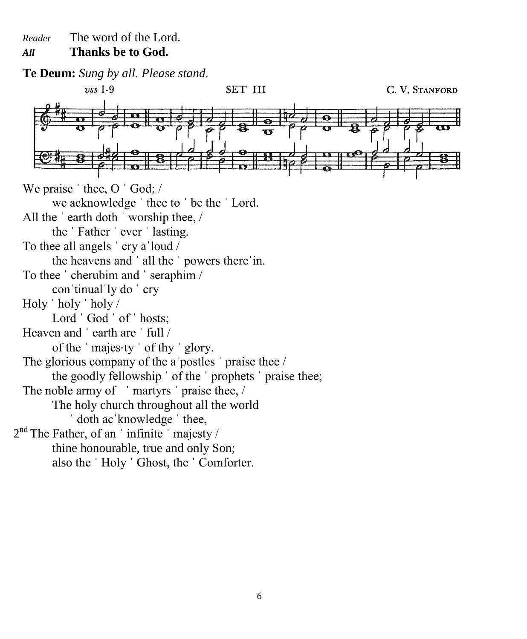*Reader* The word of the Lord.

*All* **Thanks be to God.**

**Te Deum:** *Sung by all. Please stand.*  $\upsilon$ ss 1-9 SET III C. V. STANFORD We praise ' thee, O ' God; / we acknowledge ˈ thee to ˈ be the ˈ Lord. All the ˈ earth doth ˈ worship thee, / the ˈ Father ˈ ever ˈ lasting. To thee all angels ˈ cry aˈloud / the heavens and ˈ all the ˈ powers thereˈin. To thee ˈ cherubim and ˈ seraphim / conˈtinualˈly do ˈ cry Holy ˈ holy ˈ holy / Lord 'God ' of ' hosts; Heaven and 'earth are ' full / of the ' majes ty ' of thy ' glory. The glorious company of the a postles ' praise thee / the goodly fellowship ' of the ' prophets ' praise thee; The noble army of 'martyrs' praise thee, / The holy church throughout all the world ' doth ac knowledge ' thee,  $2<sup>nd</sup>$  The Father, of an 'infinite' majesty / thine honourable, true and only Son; also the ˈ Holy ˈ Ghost, the ˈ Comforter.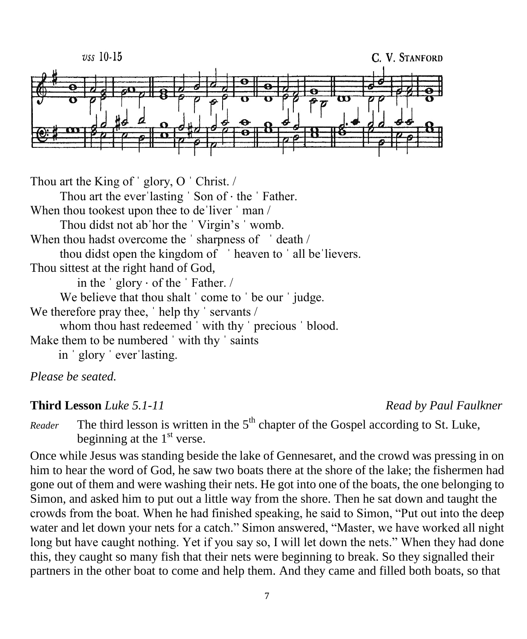

Thou art the King of 'glory, O 'Christ. / Thou art the ever 'lasting ' Son of  $\cdot$  the ' Father. When thou tookest upon thee to de'liver 'man / Thou didst not abˈhor the ˈ Virgin's ˈ womb. When thou hadst overcome the 'sharpness of 'death / thou didst open the kingdom of 'heaven to ' all be lievers. Thou sittest at the right hand of God, in the  $\prime$  glory  $\cdot$  of the  $\prime$  Father. / We believe that thou shalt ' come to ' be our ' judge. We therefore pray thee, 'help thy ' servants / whom thou hast redeemed 'with thy ' precious ' blood. Make them to be numbered 'with thy ' saints in ˈ glory ˈ everˈlasting.

*Please be seated.*

#### **Third Lesson** *Luke 5.1-11 Read by Paul Faulkner*

*Reader* The third lesson is written in the  $5<sup>th</sup>$  chapter of the Gospel according to St. Luke, beginning at the  $1<sup>st</sup>$  verse.

Once while Jesus was standing beside the lake of Gennesaret, and the crowd was pressing in on him to hear the word of God, he saw two boats there at the shore of the lake; the fishermen had gone out of them and were washing their nets. He got into one of the boats, the one belonging to Simon, and asked him to put out a little way from the shore. Then he sat down and taught the crowds from the boat. When he had finished speaking, he said to Simon, "Put out into the deep water and let down your nets for a catch." Simon answered, "Master, we have worked all night long but have caught nothing. Yet if you say so, I will let down the nets." When they had done this, they caught so many fish that their nets were beginning to break. So they signalled their partners in the other boat to come and help them. And they came and filled both boats, so that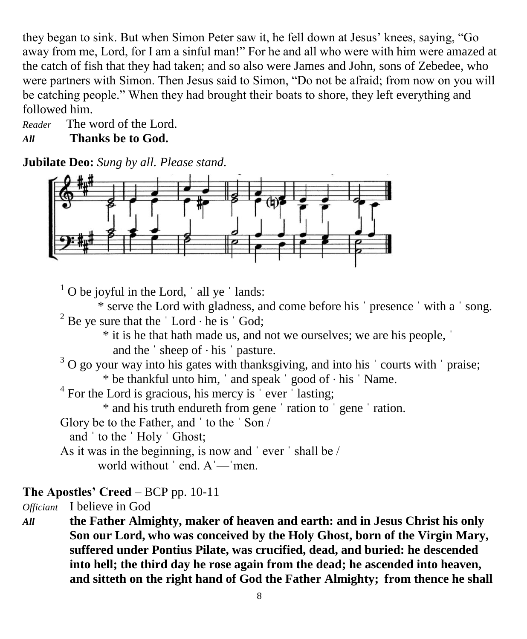they began to sink. But when Simon Peter saw it, he fell down at Jesus' knees, saying, "Go away from me, Lord, for I am a sinful man!" For he and all who were with him were amazed at the catch of fish that they had taken; and so also were James and John, sons of Zebedee, who were partners with Simon. Then Jesus said to Simon, "Do not be afraid; from now on you will be catching people." When they had brought their boats to shore, they left everything and followed him.

*Reader* The word of the Lord. *All* **Thanks be to God.**

**Jubilate Deo:** *Sung by all. Please stand.*



 $1$  O be joyful in the Lord,  $\dot{\ }$  all ye  $\dot{\ }$  lands:

\* serve the Lord with gladness, and come before his ˈ presence ˈ with a ˈ song. <sup>2</sup> Be ye sure that the  $\dot{\;}$  Lord  $\cdot$  he is  $\dot{\;}$  God;

\* it is he that hath made us, and not we ourselves; we are his people, ˈ

and the  $\dot{\ }$  sheep of  $\cdot$  his  $\dot{\ }$  pasture.

 $3$  O go your way into his gates with thanksgiving, and into his  $\cdot$  courts with  $\cdot$  praise; \* be thankful unto him, ˈ and speak ˈ good of ⋅ his ˈ Name.

 $4$  For the Lord is gracious, his mercy is  $\cdot$  ever  $\cdot$  lasting;

\* and his truth endureth from gene ˈ ration to ˈ gene ˈ ration.

Glory be to the Father, and ˈ to the ˈ Son /

and ˈ to the ˈ Holy ˈ Ghost;

As it was in the beginning, is now and ˈ ever ˈ shall be / world without ' end. A '— 'men.

#### **The Apostles' Creed** – BCP pp. 10-11

*Officiant* I believe in God

*All* **the Father Almighty, maker of heaven and earth: and in Jesus Christ his only Son our Lord, who was conceived by the Holy Ghost, born of the Virgin Mary, suffered under Pontius Pilate, was crucified, dead, and buried: he descended into hell; the third day he rose again from the dead; he ascended into heaven, and sitteth on the right hand of God the Father Almighty; from thence he shall**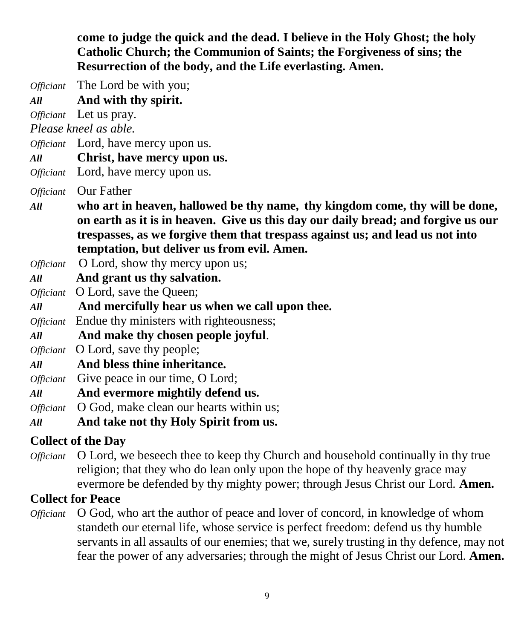**come to judge the quick and the dead. I believe in the Holy Ghost; the holy Catholic Church; the Communion of Saints; the Forgiveness of sins; the Resurrection of the body, and the Life everlasting. Amen.**

*Officiant* The Lord be with you;

*All* **And with thy spirit.**

*Officiant* Let us pray.

*Please kneel as able.*

*Officiant* Lord, have mercy upon us.

*All* **Christ, have mercy upon us.**

*Officiant* Lord, have mercy upon us.

*Officiant* Our Father

- *All* **who art in heaven, hallowed be thy name, thy kingdom come, thy will be done, on earth as it is in heaven. Give us this day our daily bread; and forgive us our trespasses, as we forgive them that trespass against us; and lead us not into temptation, but deliver us from evil. Amen.**
- *Officiant* O Lord, show thy mercy upon us;
- *All* **And grant us thy salvation.**

*Officiant* O Lord, save the Queen;

*All* **And mercifully hear us when we call upon thee.**

*Officiant* Endue thy ministers with righteousness;

*All* **And make thy chosen people joyful**.

*Officiant* O Lord, save thy people;

- *All* **And bless thine inheritance.**
- *Officiant* Give peace in our time, O Lord;
- *All* **And evermore mightily defend us.**

*Officiant* O God, make clean our hearts within us;

*All* **And take not thy Holy Spirit from us.**

#### **Collect of the Day**

*Officiant* O Lord, we beseech thee to keep thy Church and household continually in thy true religion; that they who do lean only upon the hope of thy heavenly grace may evermore be defended by thy mighty power; through Jesus Christ our Lord. **Amen.**

#### **Collect for Peace**

*Officiant* O God, who art the author of peace and lover of concord, in knowledge of whom standeth our eternal life, whose service is perfect freedom: defend us thy humble servants in all assaults of our enemies; that we, surely trusting in thy defence, may not fear the power of any adversaries; through the might of Jesus Christ our Lord. **Amen.**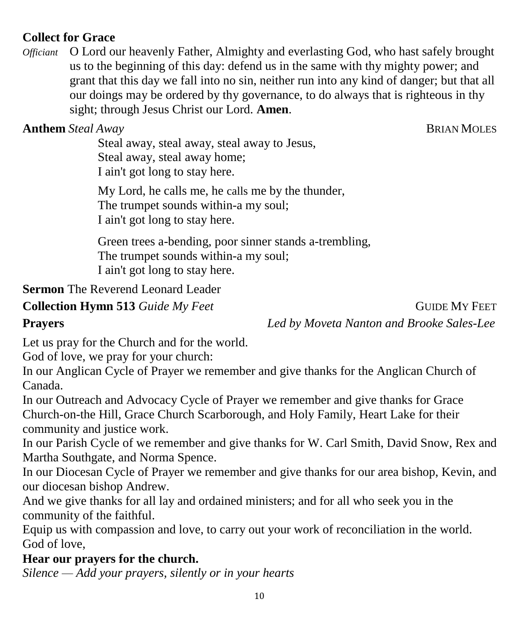## **Collect for Grace**

*Officiant* O Lord our heavenly Father, Almighty and everlasting God, who hast safely brought us to the beginning of this day: defend us in the same with thy mighty power; and grant that this day we fall into no sin, neither run into any kind of danger; but that all our doings may be ordered by thy governance, to do always that is righteous in thy sight; through Jesus Christ our Lord. **Amen**.

**Anthem** *Steal Away* **BRIAN MOLES** 

Steal away, steal away, steal away to Jesus, Steal away, steal away home; I ain't got long to stay here.

My Lord, he calls me, he calls me by the thunder, The trumpet sounds within-a my soul; I ain't got long to stay here.

Green trees a-bending, poor sinner stands a-trembling, The trumpet sounds within-a my soul; I ain't got long to stay here.

## **Sermon** The Reverend Leonard Leader

**Collection Hymn 513** *Guide My Feet* **GUIDE MY FEET Prayers** *Led by Moveta Nanton and Brooke Sales-Lee*

Let us pray for the Church and for the world.

God of love, we pray for your church:

In our Anglican Cycle of Prayer we remember and give thanks for the Anglican Church of Canada.

In our Outreach and Advocacy Cycle of Prayer we remember and give thanks for Grace Church-on-the Hill, Grace Church Scarborough, and Holy Family, Heart Lake for their community and justice work.

In our Parish Cycle of we remember and give thanks for W. Carl Smith, David Snow, Rex and Martha Southgate, and Norma Spence.

In our Diocesan Cycle of Prayer we remember and give thanks for our area bishop, Kevin, and our diocesan bishop Andrew.

And we give thanks for all lay and ordained ministers; and for all who seek you in the community of the faithful.

Equip us with compassion and love, to carry out your work of reconciliation in the world. God of love,

## **Hear our prayers for the church.**

*Silence — Add your prayers, silently or in your hearts*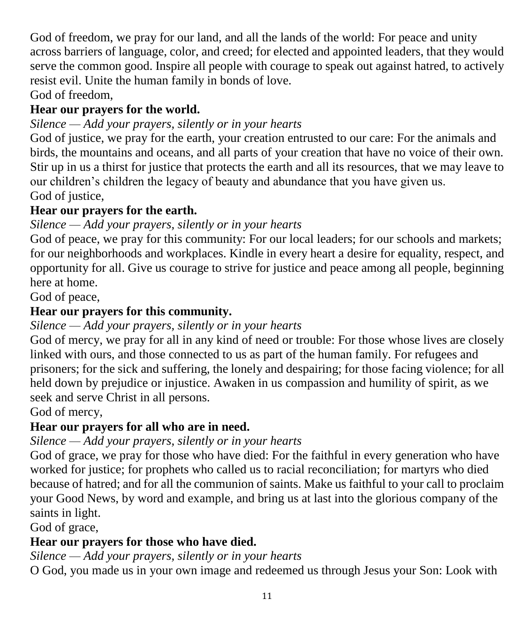God of freedom, we pray for our land, and all the lands of the world: For peace and unity across barriers of language, color, and creed; for elected and appointed leaders, that they would serve the common good. Inspire all people with courage to speak out against hatred, to actively resist evil. Unite the human family in bonds of love.

God of freedom,

## **Hear our prayers for the world.**

# *Silence — Add your prayers, silently or in your hearts*

God of justice, we pray for the earth, your creation entrusted to our care: For the animals and birds, the mountains and oceans, and all parts of your creation that have no voice of their own. Stir up in us a thirst for justice that protects the earth and all its resources, that we may leave to our children's children the legacy of beauty and abundance that you have given us. God of justice,

# **Hear our prayers for the earth.**

# *Silence — Add your prayers, silently or in your hearts*

God of peace, we pray for this community: For our local leaders; for our schools and markets; for our neighborhoods and workplaces. Kindle in every heart a desire for equality, respect, and opportunity for all. Give us courage to strive for justice and peace among all people, beginning here at home.

God of peace,

# **Hear our prayers for this community.**

## *Silence — Add your prayers, silently or in your hearts*

God of mercy, we pray for all in any kind of need or trouble: For those whose lives are closely linked with ours, and those connected to us as part of the human family. For refugees and prisoners; for the sick and suffering, the lonely and despairing; for those facing violence; for all held down by prejudice or injustice. Awaken in us compassion and humility of spirit, as we seek and serve Christ in all persons.

God of mercy,

# **Hear our prayers for all who are in need.**

# *Silence — Add your prayers, silently or in your hearts*

God of grace, we pray for those who have died: For the faithful in every generation who have worked for justice; for prophets who called us to racial reconciliation; for martyrs who died because of hatred; and for all the communion of saints. Make us faithful to your call to proclaim your Good News, by word and example, and bring us at last into the glorious company of the saints in light.

God of grace,

# **Hear our prayers for those who have died.**

# *Silence — Add your prayers, silently or in your hearts*

O God, you made us in your own image and redeemed us through Jesus your Son: Look with